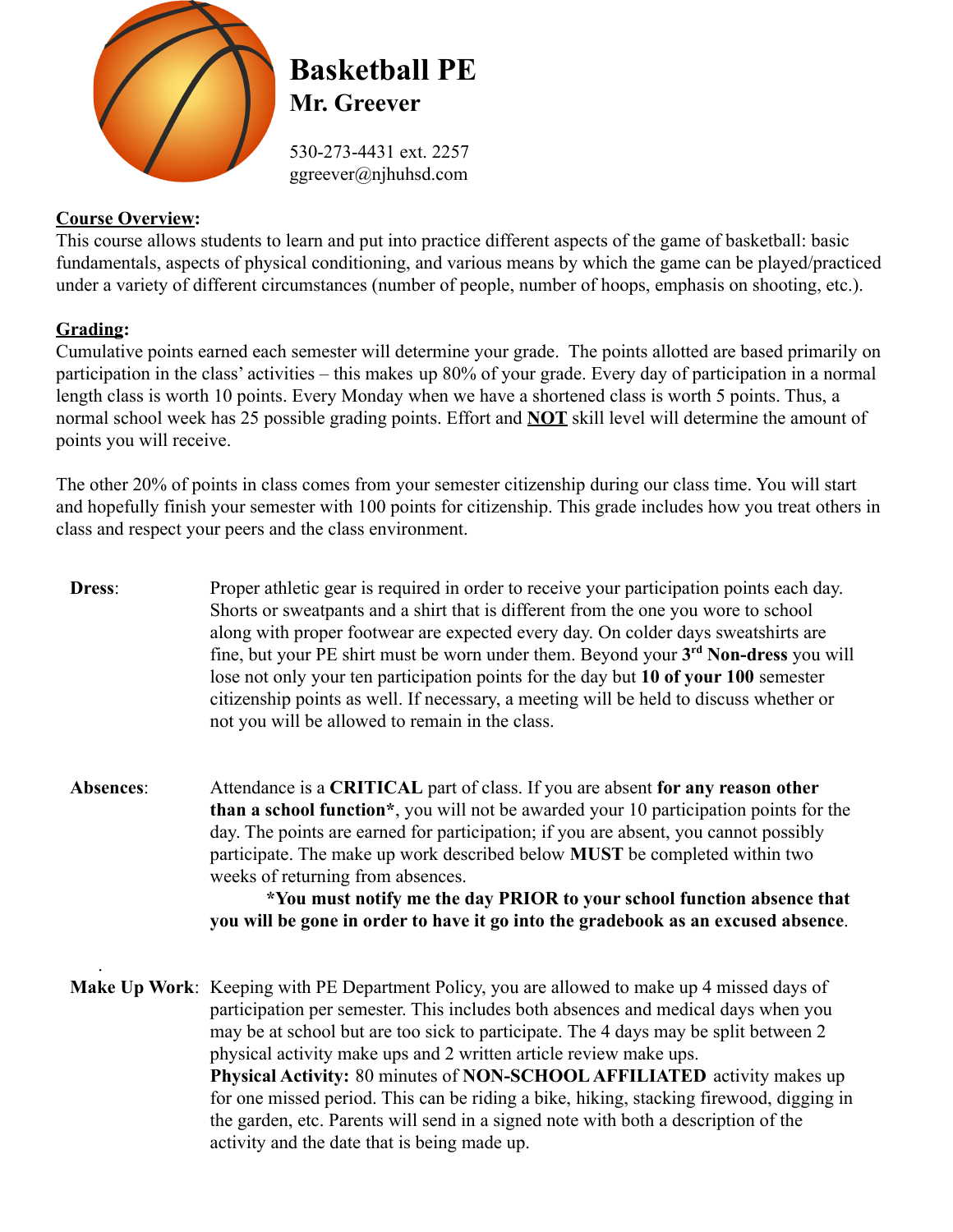

# **Basketball PE Mr. Greever**

530-273-4431 ext. 2257 ggreever@njhuhsd.com

## **Course Overview:**

This course allows students to learn and put into practice different aspects of the game of basketball: basic fundamentals, aspects of physical conditioning, and various means by which the game can be played/practiced under a variety of different circumstances (number of people, number of hoops, emphasis on shooting, etc.).

## **Grading:**

Cumulative points earned each semester will determine your grade. The points allotted are based primarily on participation in the class' activities – this makes up 80% of your grade. Every day of participation in a normal length class is worth 10 points. Every Monday when we have a shortened class is worth 5 points. Thus, a normal school week has 25 possible grading points. Effort and **NOT** skill level will determine the amount of points you will receive.

The other 20% of points in class comes from your semester citizenship during our class time. You will start and hopefully finish your semester with 100 points for citizenship. This grade includes how you treat others in class and respect your peers and the class environment.

- **Dress:** Proper athletic gear is required in order to receive your participation points each day. Shorts or sweatpants and a shirt that is different from the one you wore to school along with proper footwear are expected every day. On colder days sweatshirts are fine, but your PE shirt must be worn under them. Beyond your **3 rd Non-dress** you will lose not only your ten participation points for the day but **10 of your 100** semester citizenship points as well. If necessary, a meeting will be held to discuss whether or not you will be allowed to remain in the class.
- **Absences**: Attendance is a **CRITICAL** part of class. If you are absent **for any reason other than a school function\***, you will not be awarded your 10 participation points for the day. The points are earned for participation; if you are absent, you cannot possibly participate. The make up work described below **MUST** be completed within two weeks of returning from absences.

**\*You must notify me the day PRIOR to your school function absence that you will be gone in order to have it go into the gradebook as an excused absence**.

. **Make Up Work**: Keeping with PE Department Policy, you are allowed to make up 4 missed days of participation per semester. This includes both absences and medical days when you may be at school but are too sick to participate. The 4 days may be split between 2 physical activity make ups and 2 written article review make ups. **Physical Activity:** 80 minutes of **NON-SCHOOL AFFILIATED** activity makes up for one missed period. This can be riding a bike, hiking, stacking firewood, digging in the garden, etc. Parents will send in a signed note with both a description of the activity and the date that is being made up.